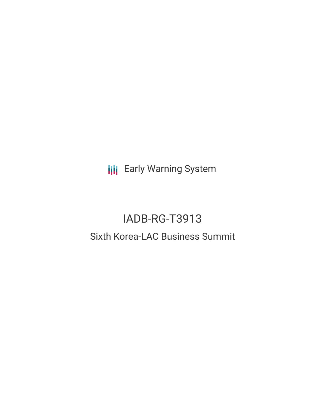**III** Early Warning System

# IADB-RG-T3913 Sixth Korea-LAC Business Summit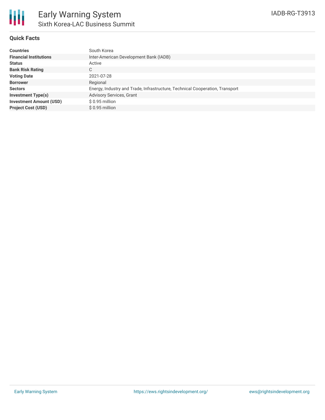

#### **Quick Facts**

| South Korea                                                                  |
|------------------------------------------------------------------------------|
| Inter-American Development Bank (IADB)                                       |
| Active                                                                       |
| C.                                                                           |
| 2021-07-28                                                                   |
| Regional                                                                     |
| Energy, Industry and Trade, Infrastructure, Technical Cooperation, Transport |
| <b>Advisory Services, Grant</b>                                              |
| \$ 0.95 million                                                              |
| $$0.95$ million                                                              |
|                                                                              |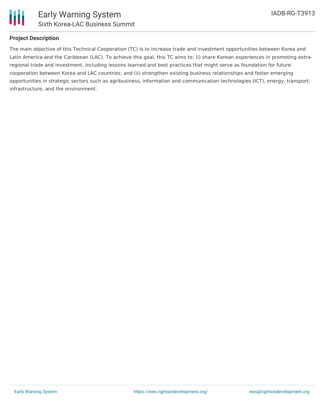

## **Project Description**

The main objective of this Technical Cooperation (TC) is to increase trade and investment opportunities between Korea and Latin America and the Caribbean (LAC). To achieve this goal, this TC aims to: (i) share Korean experiences in promoting extraregional trade and investment, including lessons learned and best practices that might serve as foundation for future cooperation between Korea and LAC countries; and (ii) strengthen existing business relationships and foster emerging opportunities in strategic sectors such as agribusiness, information and communication technologies (ICT), energy, transport, infrastructure, and the environment.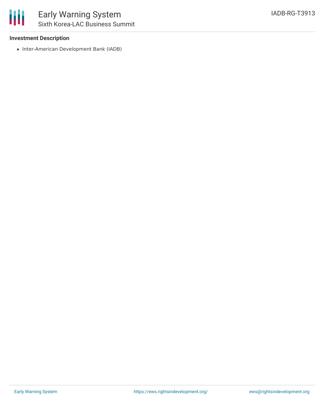

#### **Investment Description**

• Inter-American Development Bank (IADB)